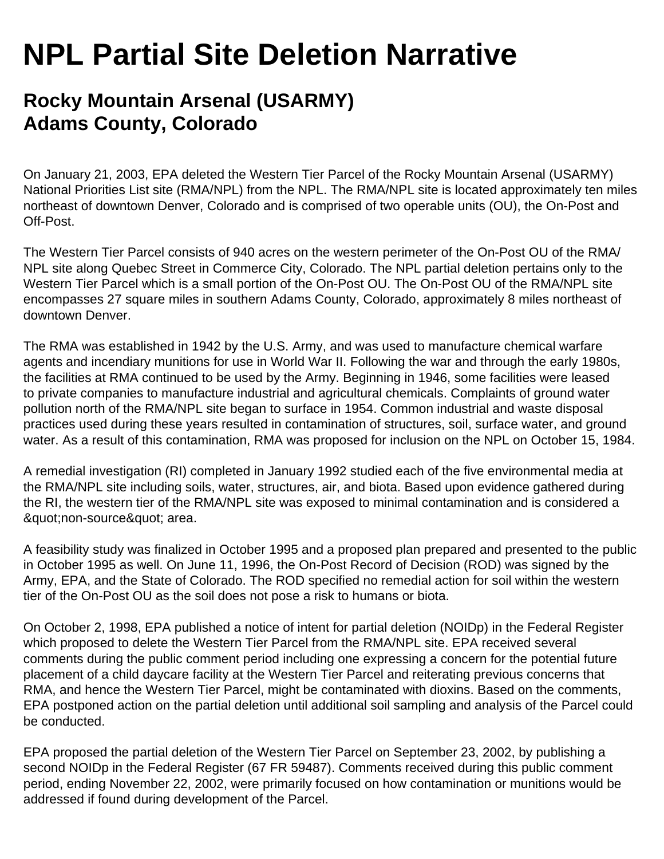## **NPL Partial Site Deletion Narrative**

## **Rocky Mountain Arsenal (USARMY) Adams County, Colorado**

On January 21, 2003, EPA deleted the Western Tier Parcel of the Rocky Mountain Arsenal (USARMY) National Priorities List site (RMA/NPL) from the NPL. The RMA/NPL site is located approximately ten miles northeast of downtown Denver, Colorado and is comprised of two operable units (OU), the On-Post and Off-Post.

The Western Tier Parcel consists of 940 acres on the western perimeter of the On-Post OU of the RMA/ NPL site along Quebec Street in Commerce City, Colorado. The NPL partial deletion pertains only to the Western Tier Parcel which is a small portion of the On-Post OU. The On-Post OU of the RMA/NPL site encompasses 27 square miles in southern Adams County, Colorado, approximately 8 miles northeast of downtown Denver.

The RMA was established in 1942 by the U.S. Army, and was used to manufacture chemical warfare agents and incendiary munitions for use in World War II. Following the war and through the early 1980s, the facilities at RMA continued to be used by the Army. Beginning in 1946, some facilities were leased to private companies to manufacture industrial and agricultural chemicals. Complaints of ground water pollution north of the RMA/NPL site began to surface in 1954. Common industrial and waste disposal practices used during these years resulted in contamination of structures, soil, surface water, and ground water. As a result of this contamination, RMA was proposed for inclusion on the NPL on October 15, 1984.

A remedial investigation (RI) completed in January 1992 studied each of the five environmental media at the RMA/NPL site including soils, water, structures, air, and biota. Based upon evidence gathered during the RI, the western tier of the RMA/NPL site was exposed to minimal contamination and is considered a & quot; non-source & quot; area.

A feasibility study was finalized in October 1995 and a proposed plan prepared and presented to the public in October 1995 as well. On June 11, 1996, the On-Post Record of Decision (ROD) was signed by the Army, EPA, and the State of Colorado. The ROD specified no remedial action for soil within the western tier of the On-Post OU as the soil does not pose a risk to humans or biota.

On October 2, 1998, EPA published a notice of intent for partial deletion (NOIDp) in the Federal Register which proposed to delete the Western Tier Parcel from the RMA/NPL site. EPA received several comments during the public comment period including one expressing a concern for the potential future placement of a child daycare facility at the Western Tier Parcel and reiterating previous concerns that RMA, and hence the Western Tier Parcel, might be contaminated with dioxins. Based on the comments, EPA postponed action on the partial deletion until additional soil sampling and analysis of the Parcel could be conducted.

EPA proposed the partial deletion of the Western Tier Parcel on September 23, 2002, by publishing a second NOIDp in the Federal Register (67 FR 59487). Comments received during this public comment period, ending November 22, 2002, were primarily focused on how contamination or munitions would be addressed if found during development of the Parcel.